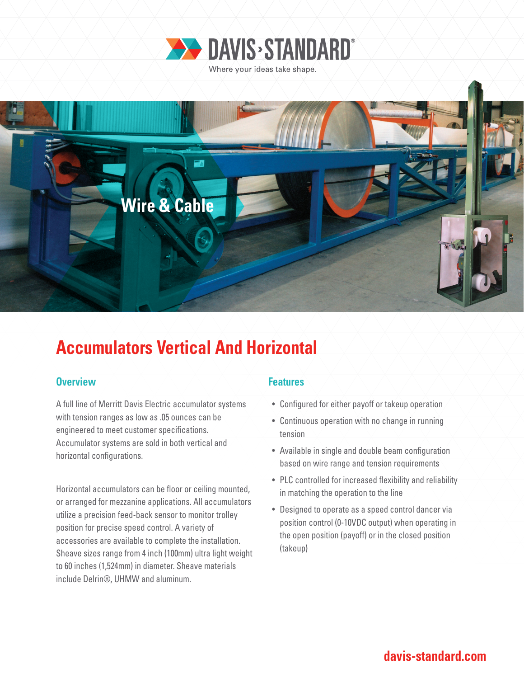



# **Accumulators Vertical And Horizontal**

### **Overview Allen Accepted Accepted Accepted Accepted Accepted Accepted Accepted Accepted Accepted Accepted Accepted**

A full line of Merritt Davis Electric accumulator systems with tension ranges as low as .05 ounces can be engineered to meet customer specifications. Accumulator systems are sold in both vertical and horizontal configurations.

Horizontal accumulators can be floor or ceiling mounted, or arranged for mezzanine applications. All accumulators utilize a precision feed-back sensor to monitor trolley position for precise speed control. A variety of accessories are available to complete the installation. Sheave sizes range from 4 inch (100mm) ultra light weight to 60 inches (1,524mm) in diameter. Sheave materials include Delrin®, UHMW and aluminum.

- Configured for either payoff or takeup operation
- Continuous operation with no change in running tension
- Available in single and double beam configuration based on wire range and tension requirements
- PLC controlled for increased flexibility and reliability in matching the operation to the line
- Designed to operate as a speed control dancer via position control (0-10VDC output) when operating in the open position (payoff) or in the closed position (takeup)

## **davis-standard.com**